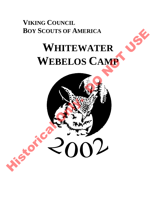## **VIKING COUNCIL BOY SCOUTS OF AMERICA**

## **WHITEWATER WEBELOS CAMP**

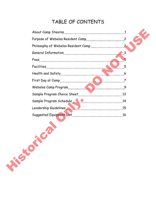## TABLE OF CONTENTS

|          | Philosophy of Webelos Resident Camp                                                                            |             |
|----------|----------------------------------------------------------------------------------------------------------------|-------------|
|          |                                                                                                                | $\bullet$ 3 |
|          |                                                                                                                | 5           |
|          |                                                                                                                | 5           |
|          |                                                                                                                | 6           |
|          | First Day at Camp                                                                                              |             |
|          | Webelos Camp Program [11] Webelos Camp Program [11] Webelos Camp Program [11] Webelos Camp Program [11] Web 20 |             |
|          |                                                                                                                |             |
|          | Sample Program Schedule 14                                                                                     |             |
|          | Leadership Guidelines                                                                                          |             |
|          |                                                                                                                |             |
| HIS ROAD |                                                                                                                |             |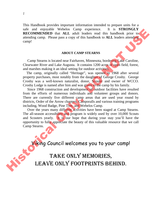This Handbook provides important information intended to prepare units for a safe and enjoyable Webelos Camp experience. It is **STRONGLY RECOMMENDED** that **ALL** adult leaders read this handbook prior to attending camp. Please pass a copy of this handbook to **ALL** leaders attending camp!

#### **ABOUT CAMP STEARNS**

 Camp Stearns is located near Fairhaven, Minnesota, bordering Lake Caroline, Clearwater River and Lake Augusta. It contains 1200 acres of open field, forest, and marshes making it an ideal setting for outdoor activities.

 The camp, originally called "Heritage", was opened in 1968 after several property purchases, most notably from the daughter of George Crosby. George Crosby was a well-known naturalist, donor, Scouter and owner of WCCO. Crosby Lodge is named after him and was given to the camp by his family.

 Since 1968 construction and development of outdoor facilities have resulted from the efforts of numerous individuals and volunteer groups and donors. There are currently five different camp areas that are used year round by districts, Order of the Arrow chapters, Camporalls and various training programs including, Wood Badge, Pine Tree, and Webelos Camp. SILE and engage and state that and was absorber to the system of the state of the state of the state of the CoMMENDED that ALL adult leaders read this handbook brior to attending camp. Please pass a copy of this handbook t

 Over the years many different activities have been staged at Camp Stearns. The all-season accessibility and program is widely used by over 10,000 Scouts and Scouters yearly. It is our hope that during your stay you'll have the opportunity to fully appreciate the beauty of this valuable resource that we call Camp Stearns.

Viking Council welcomes you to your camp!

# Take only memories,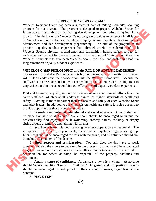#### **PURPOSE OF WEBELOS CAMP**

Webelos Resident Camp has been a successful part of Viking Council's Scouting program for many years. The program is designed to prepare Webelos Scouts for future years in Scouting by facilitating den development and stimulating individual growth. The design of the Webelos Camp program provides experiences in all facets of Webelos outdoor activities including camping, nature, aquatics, shooting sports, advancement and den development programming. The aim of the program is to provide a quality outdoor experience built through careful consideration of each Webelos Scout's physical, mental/emotional capabilities, health, safety, respect for each other and respect for the environment. It is the intent of Viking Council and the Webelos Camp staff to give each Webelos Scout, each den, and each adult leader a long remembered quality outdoor experience. plegram to many years. The plegram is designed to plegram the designed webtch and the window the mass in Scoting by facilitating dentices and the studies control of Webelso suddom activities including energina, nature, ag

#### **WEBELOS CAMP PHILOSOPHY and the ROLE OF ADULT LEADERSHIP**

The success of Webelos Resident Camp is built on the exceptional quality of volunteer Adult Den Leaders and their cooperation with the Webelos Camp staff. Because the staff works in close coordination with each volunteer adult den leader it is important to emphasize our aims so as to combine our efforts toward a quality outdoor experience.

First and foremost, a quality outdoor experience requires coordinated efforts from the camp staff and volunteer adult leaders to assure the highest standards of health and safety. Nothing is more important than the health and safety of each Webelos Scout and adult leader! In addition to our emphasis on health and safety, it is also our aim to provide opportunities that encourage Scouts to:

 1. **Stimulate recreational, educational and social interests**. Opportunities will be made available to all Scouts. *Every* Scout should be encouraged to pursue the activities they find enjoyable, be it swimming, archery, nature, cooking, or simply sitting around a campfire and talking with friends.

 2. **Work as a team**. Outdoor camping requires cooperation and teamwork. The group has to set up camp, prepare meals, attend and participate in programs as a group. *Each* Scout should be encouraged to work with the group, and *all* activities should aim to include all members of the densite.

 3. **Show respect and consideration.** Not only does the den have to work together, but also they have to get along in the process. Scouts should be encouraged to get to know one another, respect each others similarities and differences, show consideration for others at camp, be respectful of the property, facilities and equipment.

 4. **Attain a sense of confidence.** At camp, *everyone* is a winner. At no time should Scouts feel like "losers" or "failures." In games and competitions, Scouts should be encouraged to feel proud of their accomplishments, regardless of the outcome!

5. **HAVE FUN!**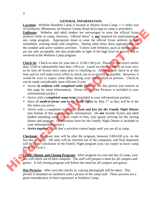#### **GENERAL INFORMATION**

**Location:** Webelos Resident Camp is located at Stearns Scout Camp, 1 ½ miles east of Fairhaven, Minnesota, on Stearns County Road 44 (a map to camp is provided.) **Uniforms:** Webelos and adult leaders are encouraged to wear the official Scout uniform while at camp; however, "official dress" is **not** required for participation in any camp program. Appropriate times to wear the official Scout uniform include assemblies, evening meals and campfires. During other times dress appropriately for the weather and active outdoor activities. T-shirts with Webelos, pack or den insignias are not only acceptable, but also *preferable* in light of the high level of activity that is involved in the Webelos Camp program. of minimal ensuring total and solution the search control in the control of the control of the search of the search of the search of the search of the search of the search of the search of the search of the search of the

**Check-In:** Check-in time for your den is 12:00-1:00 p.m. Please do *not* arrive earlier than 12:00 or substantially later than 1:00 p.m. Lunch on check-in day is on your own, so be sure all Scouts have eaten prior to checking in. All units will check in at this time and we will make every effort to check you in as quickly as possible. However, it would be wise to expect some delay during your initial check-in process. Check-in can be made considerably more efficient if you:

- Arrive *in uniform with completed order form* for the den picture (see bottom of this page for more information). (Form for the Den Pictures is included in your informational packet.)
- Arrive with a *completed camp roster* (included in your informational packet).
- Have all *medical forms sent to the Scout Office* by May 1<sup>st</sup> so they will be in the file when you arrive.
- Arrive with a completed reservation *form and fees for the Family Night Dinner* (see bottom of this page for more information). Do **not** include Scouts and adult leaders attending camp in your count or fees, only guests arriving for the closing dinner and program. (Reservation form for the Family Night Dinner is included in your informational packet.)
- *Arrive together*. Your den's activities cannot begin until you are all at camp.

**Checkout:** Checkout time will be after the program, between 5:00-6:00 p.m. on the last day of camp. All units will be checked out of the campsites, and final departure will be at the conclusion of the Family Night program (you can expect to leave camp about 8:30 p.m.).

**Family Dinner and Closing Program:** After program on your last day of camp, your den will check out of their campsite. The staff will prepare a meal for all campers and guests. A full closing program will follow the meal for all campers and guests.

**Den Pictures:** After your den checks in, a group photograph will be taken. This picture is mounted on cardstock with a picture of the camp staff. These pictures are a great remembrance of their experience at Webelos Camp.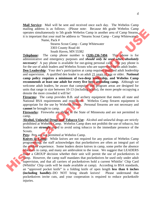**Mail Service:** Mail will be sent and received once each day. The Webelos Camp mailing address is as follows: (Please note: Because 4th grade Webelos Camp operates simultaneously to 5th grade Webelos Camp in another area of Camp Stearns, it is important that your mail be address to "Stearns Scout Camp - Camp Whitewater".

Name, Pack #

 Stearns Scout Camp - Camp Whitewater 3303 County Road 44 South Haven, MN 55382

**Telephone:** The camp phone number is **(320)-236-7494**. This phone is for administrative and emergency purposes and *should only be used when absolutely necessary!* A pay phone is available for out-going personal calls. The pay phone is for the use of adult leaders and Webelos Scouts who are supervised by an adult leader.

**Den Leadership**: Your den's participation at camp requires qualified adult leadership and supervision. A qualified den leader is an adult 21 years of age or older. **National camp policy requires a minimum of two-deep leadership, and Webelos Camp recommends at least one adult for every five boys attending camp.** Although we welcome adult leaders, be aware that campsites and program areas are designed for units that range in size between 10-13 (including adults), the more people occupying a densite the more crowded it will be!

**Firearms:** The camp provides B.B. and archery equipment that meets all state and National BSA requirements and regulations. Webelos Camp firearm equipment is appropriate for the use by Webelos Scouts. Personal firearms are not necessary and **cannot** be brought to camp.

**Fireworks:** Fireworks are illegal in the State of Minnesota and are not permitted in camp.

**Alcohol, Unlawful Drugs and Tobacco Use:** Alcohol and unlawful drugs are strictly prohibited at Webelos Camp. Webelos Camp does not prohibit the use of tobacco, but leaders are **strongly** urged to avoid using tobacco in the immediate presence of the Scouts.

**Pets:** Pets are not permitted at Webelos Camp.

**Knives in Camp:** While knives are not required for any portion of Webelos Camp programming, the staff acknowledges that pocketknives are often an integral part of the outdoor experience. Some leaders desire knives in camp, some prefer the absence of knives in camp, and many are ambivalent to the issue. We suggest that LEADERS make a GROUP decision whether their unit will permit the use of pocketknives in camp. However, the camp staff mandates that pocketknives be used only under adult supervision, and that all carriers of pocketknives hold a current Whittlin' Chip Card (Whittlin' Chip cards will be made available at camp). According to BSA standards, an "approved pocket knife" is a folding knife of open length **less than 6 inches (including handle)--**DO NOT bring sheath knives! Please understand that pocketknives invite cuts, and your cooperation is required to reduce pocketknife injuries. manny assess as someones and the state lost C-betase the may be veloculty and the state of the state of the state of the state of the state of the state of the state of the state of the state of the state of the state of t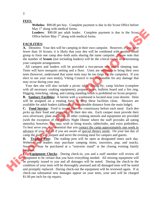**FEES**:

**Webelos:** \$90.00 per boy. Complete payment is due in the Scout Office before May  $1<sup>st</sup>$  along with medical forms.

Leaders: \$90.00 per adult leader. Complete payment is due in the Scout Office before May  $1<sup>st</sup>$  along with medical forms.

#### **FACILITIES:**

**A.** Densites**:** Your den will be camping in their own campsite. However, if you have fewer than 10 Scouts, it is likely that your den will be combined with another small group to form one camp den--both units sharing the same campsite. Please note that the number of **Scouts** (not including leaders) will be the critical factor in determining your campsite arrangements

All campers and leaders will be provided a two-person tent and a sleeping mat. Tents will have mosquito netting and a floor. Units are welcome to bring their own tents (however, understand that some tents may be too large for the campsite). If you elect to use your own tent(s), Viking Council is not responsible for any damage that may occur during your stay.

Your den site will also include a picnic table, dining-fly, camp kitchen (complete with all necessary cooking equipment), propane stove, bulletin board and a fire ring. Digging, trenching, raking, and cutting standing brush is prohibited on Scout property

**B. Sanitary Facilities:** A latrine with a washstand is located near your densite. Dens will be assigned on a rotating basis to keep these facilities clean. Showers are available for adult leaders (although at considerable distance from the main lodge).

**C. Food Service:** Food is issued from the commissary before each meal. Each den picks up their food and prepares it in their den site. Each camper must provide their own silverware, plate and bowl; all other cooking utensils and equipment are provided (with the exception of the Family Night Dinner where the staff provides all eating utensils); however, you may wish to bring towels, tablecloths, and extra potholders. To best serve you, it is essential that you contact the camp approximately one week in advance of your arrival if you are aware of special dietary needs. On your last day of camp the staff will prepare and serve the evening meal for campers and guests. Bayy along with method to the bayy and the sympath is due in the Seoul Online Bayes and the sample in the sample in the sympath is complete. However, if some that the contract than 10 Seouls, it is fieldly that you due to

**D. Trading Post:** The trading post will be open at designated times each day. Webelos and leaders may purchase camping items, souvenirs, pop, and snacks. Souvenirs may be purchased at a "souvenir stand" at the closing evening family program.

**E. Equipment Checks**: During check-in, you and a staff member will review all equipment to be certain that you have everything needed. All missing equipment will be promptly issued to you and all damages will be noted. During the check-in the condition of your tents will be thoroughly assessed and all damaged tents will be noted and promptly replaced. During check-out the equipment will be reviewed again. If at check-out substantial new damages appear on your tents, your unit will be charged \$1.00 per inch for rip repairs.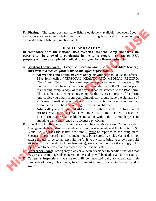**F. Fishing:** The camp does not have fishing equipment available; however, Scouts and leaders are welcome to bring their own. No fishing is allowed in the swimming area and all state fishing regulations apply.

#### **HEALTH AND SAFETY**

**In compliance with the National BSA Webelos Resident Camp standards, no persons can be allowed to participate in the camp program or stay on BSA property without a completed medical form signed by a licensed physician.**

- A. **Medical Exams/Forms:** *Everyone attending camp (Scouts and Adult Leaders) must turn in a medical form to the Scout Office before May 1st .*
- **All Webelos and adults 39 years of age or younger** should use the official BSA form called "PERSONAL HEALTH AND MEDICAL RECORD, Class 1 and Class 2". This form requires a physical examination every 36 months. If they have had a physical examination with the 36 months prior to attending camp, a copy of that physical can be attached to the BSA form, (If this is the case they need only complete the "Class 1" portion of the form. Any copies you obtain from your clinic/doctor should have the signature of a licensed medical practitioner. If a copy is not available, another examination must be done and signed by the practitioner. F. Fishing: The camp does not have fishing equipment available; however, Sconts<br>and leaders are welcome to bring their own. No fishing is allowed in the swimming<br>area and all state fishing regulations apply.<br>
HEALTH AND S
	- **Adults 40 years of age and older** must use the official BSA form called "PERSONAL HEALTH AND MEDICAL RECORD FORM - Class 3". This form requires a health examination within the 12-month prior to attending camp and signed by a licensed physician.
	- B. **First Aid:** A fully trained first aid person will be available in camp 24 hours a day. Arrangements have also been made at a clinic in Annandale and the hospital in St. Cloud. **All** injuries (no matter how small) **must** be reported to the camp staff. Because proper records and treatments must be assured, Webelos Camp does not advise the use of personal "first aid kits". If you wish to bring your own first aid kit (even if this merely includes band-aids), we ask that you use it sparingly. All injuries are to be treated and recorded by the first aid staff.

C. **Emergency Plans:** Emergency plans have been developed to handle situations that may arise at camp. Details concerning these plans will be made available at camp.

D. **Campsite Inspections**: Campsites will be inspected daily to encourage high standards of safety, cleanliness, health, sanitation and pride as individuals and a group.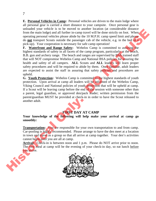**E. Personal Vehicles in Camp:** Personal vehicles are driven to the main lodge where all personal gear is carried a short distance to your campsite. Once personal gear is unloaded your vehicle is to be moved to another location (at considerable distance from the main lodge) and all further in-camp travel will be done strictly on foot. When operating personal vehicles please abide by the 10 M.P.H. camp speed limit and please do **not** transport Scouts outside the passenger cab of the vehicle, e.g. in the bed of a pick-up). Your cooperation is necessary for safe camp operation!

**F. Waterfront and Range Safety:** Webelos Camp is committed to assuring the highest standards of safety in all facets of the camp program, particularly at the beach, B.B. gun and archery range. The beach and ranges are supervised by **BSA** trained staff that will NOT compromise Webelos Camp and National BSA policies for assuring the health and safety of all campers. **ALL** Scouts and **ALL** leaders will learn proper safety procedures and will be required to abide by them. Once familiar, adult leaders are expected to assist the staff in assuring that safety policies and procedures are upheld. into the constraints to be interesting the solution of the Counter of the Columb is the solution of the Columb in the solution of the Columb in the Columb in the Columb in the Columb in the Columb in the Columb in the Colu

**G. Youth Protection:** Webelos Camp is committed to the highest standards of youth protection. Upon arrival at camp all leaders will be informed of the Webelos Camp, Viking Council and National policies of youth protection that will be upheld at camp. If a Scout will be leaving camp before the end of the session with someone other than a parent, legal guardian, or approved den/pack leader; written permission from the parent/guardian MUST be provided at check-in in order to have the Scout released to another adult.

#### **FIRST DAY AT CAMP**

**Your knowledge of the following will help make your arrival at camp go smoothly:**

**Transportation:** You are responsible for your own transportation to and from camp. Car-pooling is highly recommended. Please arrange to have the den meet at a location in town and travel as a group so that all arrive at camp together. Your den's activities cannot begin until you are all at camp.

Arrival: Check-in is between noon and 1 p.m. Please do NOT arrive prior to noon. The first meal at camp will be the evening of your check-in day, so eat lunch before you arrive.

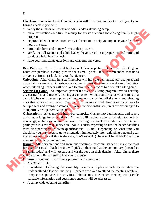**Check-in:** upon arrival a staff member who will direct you to check-in will greet you. During check-in you will:

- verify the number of Scouts and adult leaders attending camp,
- make reservations and turn in money for guests attending the closing Family Night program,
- be provided with some introductory information to help you organize your first few hours in camp,
- turn in the form and money for your den pictures.
- verify that all Scouts and adult leaders have turned in a proper medical form and conduct a brief health check,
- have your immediate questions and concerns answered.

**Den Pictures:** Your den and leaders will have a picture taken when checking in. Units can purchase a camp picture for a small price. It is recommended that units arrive in uniform, (it looks nice on the picture)!

**Unloading:** After check-in, a staff member will help the den unload personal gear and move into a campsite. Guests are welcome to visit the campsite and camp facilities. After unloading, leaders will be asked to move their vehicles to a central parking area.

**Setting Up Camp:** An important part of the Webelos Camp program involves setting up, caring for, and properly leaving a campsite. When you arrive at your campsite a camp kitchen will be set up, as well as one tent containing all the tents and sleeping mats that your den will need. Your den will receive a brief demonstration on how to set up a tent and arrange a campsite. After the demonstration, units are encouraged to thoughtfully set up *their* campsite.

**Orientations:** After moving into your campsite, change into bathing suits and report to the main lodge for orientations. All units will receive a brief orientation to the B.B. gun range, archery range and the beach. During the beach orientation all Scouts will participate in a swim qualification. Adult leaders expecting to use the beach facilities must also participate in swim qualifications. (Note: Depending on what time you check in, you may need to go to orientation immediately after unloading personal gear into your campsite - if this is the case, don't worry! (There will be PLENTY of time after supper to finish moving in! For the number of Scotts and antificates attention of the proportional and the series at the provided with some introductory information to help you organize your first two provided with some introductory information to h

**Dinner:** After orientations and swim qualifications the commissary will issue the food for your first meal. Each densite will pick up their food at the commissary (located at the main lodge) and will prepare and eat the food in their densite. After dinner there will be time to finish settling into your campsite.

**Evening Program:** The evening program will consist of:

- A 7:30 assembly.
- Immediately following the assembly, Scouts will play a wide game while the leaders attend a leaders' meeting. Leaders are asked to attend the meeting while all camp staff supervises the activities of the Scouts. The leaders meeting will provide valuable information and questions/concerns will be addressed.
- A camp-wide opening campfire.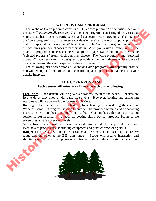#### **WEBELOS CAMP PROGRAM**

 The Webelos Camp program consists of (1) a "core program" of activities that your densite will *automatically* receive, (2) a "selected program" consisting of activities that your densite has chosen to participate in and (3) "camp-wide" programs. The intent of the "core program" is to guarantee each densite receives the most popular programs that are expected and desired at Webelos Camp. The "selected program" includes all the activities your den chooses to participate in. When you arrive at camp you will be given a "program choice sheet" (see sample on page 13), containing all available "selected programs" from which you may choose. The "core program" and "selected program" have been carefully designed to provide a maximum degree of freedom and choice in creating the camp experience that you desire. The Webels Camp program consists of UI a "core program" consisting that with the webels can be detected program" consisting of netwittes that your densite heat those not o participate in and (3) "carry-wide" programs. The

 The following brief descriptions of Webelos Camp programs will hopefully provide you with enough information to aid in constructing a camp program that best suits your densite interests:

#### **THE CORE PROGRAM**

#### **Each densite will automatically receive each of the following:**

**Free Swim:** Each densite will be given a *daily* free swim at the beach. Densites are free to do as they choose with daily free swims. However, boating and snorkeling equipment will not be available for use at this time.

**Boating:** Each densite will be scheduled for a boating session during their stay at Webelos Camp. During this session Scouts will be provided boating and/or canoeing instruction with emphasis on small boat safety. Our emphasis during your boating session is **not** necessarily to teach all boating skills, but to introduce Scouts to the adventures of safe waterway travels.

**Snorkeling:** Each densite will have one snorkeling period. In this period Scouts will learn how to properly use snorkeling equipment and practice snorkeling skills.

**Range:** Each densite will have two sessions at the range. One session at the archery range and the other at the B.B. gun range. Scouts will receive instruction and shooting experience with emphasis on control and safety under close staff supervision.

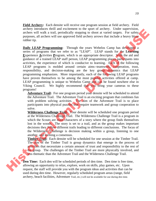**Field Archery:** Each densite will receive one program session at field archery. Field archery introduces thrill and excitement to the sport of archery. Under supervision, archers will walk a trail, periodically stopping to shoot at varied targets. For safety purposes, all archers will use approved field archery arrows that include a heavy blunt rubber tip.

**Daily LEAP Programming:** Through the years Webelos Camp has developed a series of programs that we refer to as "LEAP". LEAP stands for the **Learning E**xperience **A**ctivities **P**rogram, which is an appropriate descriptor. With the aid and guidance of a trained LEAP staff person, LEAP programming places participants into activities, the experience of which is conducive to learning. Each of the following LEAP programs is molded around certain aims--teamwork, cooperation, trust, responsibility, and decision-making are the key group dynamics that LEAP programming emphasizes. More importantly, each of the following LEAP programs have proven themselves to be among the most popular activities offered at camp. LEAP programming is unique to Webelos Camp and can be found nowhere else in Viking Council. We highly recommend that you bring your cameras to these programs! archive manusia and existentia of the spot of archives of the space of the space of the space of the space of the space of the space of the space of the space of the space of the space of the space of the space of the spac

**Adventure Trail:** For one program period your densite will be scheduled to attend the Adventure Trail. The Adventure Trail is an exciting program that combines fun with problem solving activities. The aim of the Adventure Trail is to place participants into physical puzzles that require teamwork and group cooperation to solve.

**Wilderness Challenge Trail:** Your densite will be scheduled one program period at the Wilderness Challenge Trail. The Wilderness Challenge Trail is a program in which the Scouts are main characters of a story where the group finds themselves lost in the woods. The story is set to a trail, and as the group makes important decisions they follow different trails leading to different conclusions. The focus of the Wilderness Challenge is decision making within a group, listening to one another, and forming a consensus.

**Timber Trail:** Each densite will be scheduled for one session at the Timber Trail. The aim of the Timber Trail is group dynamics that emerge in the process of activities that necessitate a certain amount of trust and responsibility to the rest of the group. The challenges of the Timber Trail are more physically involved, and less thematic than the Adventure Trail and the Wilderness Challenge Trail.

**Den Time:** Each den will be scheduled periods of den time. Den time is free time, allowing an opportunity to relax, explore, work on skills, play games, etc. Upon request, the staff will provide you with the program ideas and activities that can be used during den time. However, regularly scheduled program areas (range, field archery, beach facilities, Adventure Trail, etc.) will not be available for use during den time.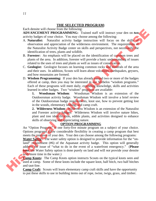#### **THE SELECTED PROGRAM:**

Each densite will choose from the following:

**ADVANCEMENT PROGRAMMING:** Trained staff will instruct your den on *two* activity badges of your choice. You may choose among the following:

- A. **Naturalist:** Naturalist activity badge instruction will focus on the skills of observation and appreciation of the wilderness environment. The requirements of the Naturalist Activity Badge center on skills and perspectives, not necessarily the identification of trees, plants and wildlife.
- B. **Forester:** An emphasis will be placed on the identification of common trees and plants of the area. In addition, forester will provide a basic understanding of issues related to the uses of trees and plants as well as issues of conservation.
- C. **Geologist:** Geologist focuses on learning common rocks and minerals of the area and their uses. In addition, Scouts will learn about volcanoes, earthquakes, geysers, and how mountains are formed.
- D. **Wisdom Programming:** If your den has already earned two or more of the badges offered at camp, then you may be interested in our Webelos "wisdom programs." Each of these programs will meet daily, extending knowledge, skills and activities learned in other badges. Two "wisdom" programs are available:

**1. Woodsman Wisdom**: Woodsman Wisdom is an extension of the Outdoorsman activity badge. Woodsman Wisdom will involve a brief review of the Outdoorsman badge requirements, knot use, how to prevent getting lost in the woods, elementary lashing, and camp craft. rom the following:<br> **COGRAMINNG:** Trained staff will instruct your den on *two*<br>
CoGRAMINNG: Trained staff will instruct your den on *two*<br>
choice. You may choose among the following:<br>
this activity badge instruction will

**2. Wilderness Wisdom**: Wilderness Wisdom is an extension of the Naturalist and Forester activity badges. Wilderness Wisdom will involve nature hikes, plant and tree identification, edible plants, and activities designed to enhance skills of observing and appreciating nature.

#### **OPTION PROGRAMMING**

An "Option Program" is one forty-five minute program on a subject of your choice. Options programs allow considerable flexibility in creating a camp program that best meets the interests of your den. Your den can choose among the following programs:

Water Safety: The water safety option is designed to provide information for the "onland" requirement (#6) of the Aquanaut activity badge. This option will generally address the issue of "what to do in the event of a waterfront emergency." (**Please note**, the Water Safety option is done purely on land and will *not* provide your densite with more time in the water.) An "Option Program" is one<br>Options programs allow commets the interests of your de<br>Water Safety: The water sa<br>land" requirement (#6) of the address the issue of "what the address the issue of "what the mote, the Water Safe

**Camp Knots:** The Camp Knots option instructs Scouts on the typical knots seen and used at camp. Some of these knots include the square knot, half hitch, two half hitches and taut-line.

**Camp Craft:** Scouts will learn elementary camp craft skills and have the opportunity to put these skills to use in building items out of rope, twine, twigs, grass, and timber.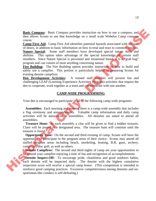**Basic Compass:** Basic Compass provides instruction on how to use a compass, and then allows Scouts to use that knowledge on a small scale Webelos Camp compass course.

**Camp First Aid:** Camp First Aid identifies potential hazards associated with the outof-doors, in addition to basic information on how to treat and react to common injuries.

**Nature Special:** Some staff members have developed special nature skills and abilities. This option takes advantage of the special knowledge of certain staff members. Since Nature Special is personnel and situational based, it is a "grab bag" program and can consist of most anything concerning nature.

**Fire Building:** The Fire Building option provides instruction on how to build and safely use a campfire. This portion is particularly helpful in preparing Scouts for evening densite campfires.

**Den Development Activities:** A trained staff member will present fun and challenging LEAP (Learning Experience Activities Program) activities that require the den to cooperate, work together as a team and communicate with one another.

#### **CAMP-WIDE PROGRAMMING**

Your den is encouraged to participate in all of the following camp-wide programs:

**Assemblies:** Each morning and evening there is a camp-wide assembly that includes a flag ceremony and announcements. Valuable camp information and daily camp activities will be announced at assemblies. All densites are asked to attend all assemblies. Compass provides instruction on how to use a compass, and<br>the that knowledge on a small scale Webelos Camp compass<br>p First Aid identifies potential hazards associated with the out-<br>basic information on how to treat and rea

**Treasure Hunt:** At each assembly a clue will be given to find a hidden treasure. Clues will be posted in a designated area. The treasure hunt will continue until the treasure is found.

 **Opportunity Time:** On the second and third evening of camp, Scouts will have the opportunity to participate in the program areas of their choice. Scouts may attend all staffed program areas including beach, snorkeling, boating, B.B. guns, archery, campcraft, disc golf, as well as others.

**Densite Campfires:** The second and third nights of camp are your opportunities to sit around your campfire enjoying a time of fun and recognition of accomplishments.

**Densite Inspect-Off:** To encourage pride, cleanliness and good outdoors habits, each densite will be inspected daily. The densite with the highest cumulative inspection score will receive a special camp honor. (This competition is intended to Treasure Hunt: At each assembly a clue will be given to find a hidden treasure.<br>Clues will be posted in a designated area. The treasure hunt will continue until the<br>treasure is found.<br>**Opportunity Time:** On the second and sportsman-like conduct is self-defeating.)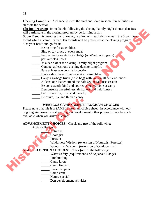**Opening Campfire:** A chance to meet the staff and share in some fun activities to start off the session.

**Closing Program:** Immediately following the closing Family Night dinner, densites will participate in the closing program by performing a skit.

**Super Den:** By meeting the following requirements each den can earn the Super Den award while at camp. Super Den awards will be presented at the closing program. "Do your best" and go for it! **EXAMPLEMELY** Interesting the costume that contains the contained the contained the contains of the contained term of the Super Den and the Contained Contains of the contained CD your best into a semi-fit of the contained

- \_\_\_\_\_ Be on time for assemblies
- **EXECUTE:** Sing or say grace at every meal
- \_\_\_\_\_ Earn at least one Activity Badge (or Wisdom Program)
	- per Webelos Scout
- Do a den skit at the closing Family Night program
- \_\_\_\_\_ Conduct at least one evening densite campfire
- \_\_\_\_\_ Pass at least one densite inspection
- Have a den cheer or yell--do at all assemblies
- **Carry a garbage truck (trash bag) with you on all den excursions**
- <sup>1</sup> At least one leader attend the Safe Swim Defense session
- **EXECUTE:** Be consistently kind and courteous to everyone at camp
- Demonstrate cheerfulness, thriftiness and helpfulness
- \_\_\_\_\_ Be trustworthy, loyal and friendly
- \_\_\_\_\_ Be brave, live and think cleanly

### **WEBELOS CAMP SAMPLE PROGRAM CHOICES**

Please note that this is a SAMPLE program choice sheet. In accordance with our ongoing aim toward creative program development, other programs may be made available when you arrive at camp.

**ADVANCEMENT CHOICES:** Check any *two* of the following:

- Activity Badges:
	- \_\_\_\_\_ Naturalist
	- Geologist
	- \_\_\_\_\_ Forester
		- \_\_\_\_\_ Wilderness Wisdom (extension of Naturalist-Forester)
	- \_\_\_\_\_ Woodsman Wisdom (extension of Outdoorsman)

### **STAFFED OPTION CHOICES:** Check *four* of the following:

Water Safety (requirement 4 of Aquanaut Badge)

- Fire building
- Camp knots
- \_\_\_\_\_ Camp first aid
- \_\_\_\_\_ Basic compass
- \_\_\_\_\_ Camp craft
- Nature special
- Den development activities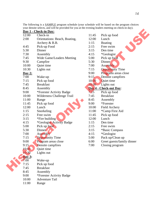|               | Day 1 - Check-in Day:         |                        |                            |
|---------------|-------------------------------|------------------------|----------------------------|
| 12:00         | Check-in                      | 11:45                  | Pick up food               |
| 2:00          | Orientations: Beach, Boating, | 12:00                  | Lunch                      |
|               | Archery & B.B.                | 1:15                   | <b>Boating</b>             |
| 4:45          | Pick-up Food                  | 2:15                   | Free swim                  |
| 5:30          | Dinner                        | 3:15                   | Den time                   |
| 7:30          | Assembly                      | 4:15                   | *Geologist                 |
| 7:45          | Wide Game/Leaders Meeting     | 5:00                   | Pick up food               |
| 9:30          | Campfire                      | 5:30                   | Dinner                     |
| 10:00         | Quiet time                    | 7:00                   | Assembly                   |
| 10:30         | Lights out                    | 7:15                   | <b>Opportunity Time</b>    |
| Day $2:$      |                               | 9:00                   | Programs areas close       |
| 7:00          | Wake-up                       | 9:15                   | Densite campfires          |
| 7:15          | Pick up food                  | 10:00                  | Quiet time                 |
| 7:45          | <b>Breakfast</b>              | 10:30                  | Lights out                 |
| 8:45          | Assembly                      | Day 4 - Check-out Day: |                            |
| 9:00          | *Forester Activity Badge      | 7:15                   | Pick up food               |
| 10:00         | Wilderness Challenge Trail    | 7:45                   | <b>Breakfast</b>           |
| 11:00         | Range                         | 8:45                   | Assembly                   |
| 11:45         | Pick up food                  | 9:00                   | *Forester                  |
| 12:00         | Lunch                         | 10:00                  | Field Archery              |
| 1:15          | Snorkeling                    | 11:00                  | *Camp First Aid            |
| 2:15          | Free swim                     | 11:45                  | Pick up food               |
| 3:15          | *Fire building                | 12:00                  | Lunch                      |
| 4:15          | *Geologist Activity Badge     | 1:15                   | Den time                   |
| 5:00          | Pick up food                  | 2:15                   | Free swim                  |
| 5:30          | Dinner                        | 3:15                   | *Basic Compass             |
| 7:00          | Assembly                      | 4:15                   | *Geologist                 |
| 7:15          | <b>Opportunity Time</b>       | 5:00                   | Pack up/Clean up           |
| 9:00          | Program areas close           | 6:00                   | Greet guests/family dinner |
| 9:15          | Densite campfires             | 7:00                   | Closing program            |
| 10:00         | Quiet time                    |                        |                            |
| 10:30         | Lights out                    |                        |                            |
| <b>Day 3:</b> |                               |                        |                            |
| 7:00          | Wake-up                       |                        |                            |
| 7:15          | Pick up food                  |                        |                            |
| 7:45          | <b>Breakfast</b>              |                        |                            |
| 8:45          | Assembly                      |                        |                            |
| 9:00          | *Forester Activity Badge      |                        |                            |
| 10:00         | <b>Adventure Tail</b>         |                        |                            |
| 11:00         | Range                         |                        |                            |

The following is a **SAMPLE** program schedule (your schedule will be based on the program choices your densite selects, and will be provided for you at the evening leaders meeting on check-in day).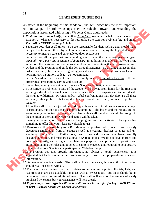#### **LEADERSHIP GUIDELINES**

As stated at the beginning of this handbook, the *den leader* has the most important role in camp. The following tips may be valuable toward understanding the expectations associated with being a Webelos Camp adult leader.

- *1. First, and most importantly*, the staff is ALWAYS available for help (regardless of the situation). Whenever necessary or desired, utilize the staff for problems big and small. *The staff is NEVER too busy to help!*
- 2. Supervise your den at all times. You are responsible for their welfare and should make every effort to assure their physical and emotional health. Employ the highest standards necessary to insure a safe and enjoyable outdoor experience.
- 3. Be sure that all people that are attending camp have the necessary personal gear, *especially rain gear and a change of footwear*. In addition, it is advised that you bring games or other activities in case the weather does not cooperate with camp programming.
- 4. Understand the program and guide the den through activities. Be on time and accomplish tasks in an enjoyable manner. In guiding your densite, remember that Webelos Camp is not a military institution, so lead - do not command.
- 5. Be the "guardian chef" at meal times. This simply means, "you taste they stir." Ensure proper meal preparation, serving and clean up.
- 6. Remember, when you are at camp you are a Scout leader first, a parent second.
- 7. Be sensitive to problems. Many of the Scouts will be away from home for the first time and might develop homesickness. Some Scouts may at first experience discomfort with the strange wilderness. Physical and/or verbal confrontations may develop. To all these and many other problems that may develop, be patient, fair, listen, and resolve problems together.
- 8. Allow the staff to do their job while working with your den. Adult leaders are encouraged to participate, but do not dictate camp programming. The beach and the ranges are not areas under your control. If there is a problem with a staff member it should be brought to the attention of the Camp Director and action will be taken.
- 9. Share your observations and ideas on the program and den activities. Everyone has something to offer and your ideas are valuable to us!
- 10.**Remember the example you set!** Maintain a positive role model. We strongly discourage smoking in front of Scouts as well as swearing, displays of anger and unsportsman like conduct. Furthermore, camp rules and policies have been carefully designed over time, and most are National BSA regulations. We do not develop rules and policies arbitrarily, and will gladly explain their purpose in camp. Your cooperation and aid in maintaining the rules and policies of camp is expected and required to be a positive role model to your Scouts and a participant at Webelos Camp. Tore, the interest of the main interest in the same of the main of the main interest in the main of the main of the main interest in the same operation of the main of the main of the main of the main of the main of the mai
	- 11.The program activities provide information, not always a "total" experience. It is suggested that leaders monitor their Webelos daily to ensure their preparedness or learned information.
	- 12.Be aware of medical needs. The staff will also be aware, however this information should NOT be shared with all.
	- 13.The camp has a trading post that contains some camping supplies, T-shirts, hats, etc. "Confections" are also available for those with a "sweet-tooth," but these should be an occasional treat - not an additional meal. The staff will monitor the amount of candy purchased by Scouts, but your assistance will help greatly!
	- *14.Enjoy camp! Your efforts will make a difference in the life of a boy. SMILES and HAPPY Webelos Scouts will reward your efforts!*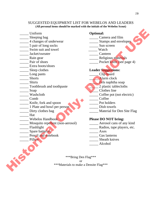#### SUGGESTED EQUIPMENT LIST FOR WEBELOS AND LEADERS **(All personal items should be marked with the initials of the Webelos Scout)**

- \_\_\_\_\_ Uniform **Optional:**
- 
- 
- 5 pair of long socks Sun screen
- Let Swim suit and towel Watch
- \_\_\_\_\_ Jacket/sweater \_\_\_\_\_ Canteen
- 
- 
- \_\_\_\_\_ Extra boots/shoes
- 
- Long pants **Long contract the Clip board**
- 
- 
- Toothbrush and toothpaste 2 plastic tablecloths
- 
- 
- 
- \_\_\_\_\_ Knife, fork and spoon \_\_\_\_\_ Pot holders
- 1 Plate and bowl per person Dish towels
- 
- \_\_\_\_\_ Hat
- 
- \_\_\_\_\_ Mosquito repellent (non-aerosol) \_\_\_\_\_ Aerosol cans of any kind
- 
- 
- \_\_\_\_\_ Spare batteries \_\_\_\_\_ Axes Pencil and notebook
- 

- Sleeping bag **Example 2** Camera and film
- \_\_\_\_\_ 4 changes of underwear \_\_\_\_\_ Stamps and envelopes
	-
	-
	-
- Lackson and Religious materials and Religious materials
- Pair of shoes Pocket knife (see page 4)

#### \_\_\_\_\_ Sleep clothes **Leader Suggestions:**

- 
- \_\_\_\_\_ Shorts \_\_\_\_\_ Alarm clock
	- **Example 18 Shirts** Shirts **Example 18 Shirts** Shirts **Example 18 Shirts** Shirts **Example 18 Shirts** Soap
		-
		-
- Letter Soap Clothes line<br>
Washcloth Coffee pot (1)  $\Box$  Coffee pot (not electric)
- Comb Coffee
	-
	-
	- Let Unity clothes bag and the Material for Den Site Flag

#### **The Webelos Handbook Please DO NOT bring:**

- 
- \_\_\_\_\_ Flashlight \_\_\_\_\_ Radios, tape players, etc.
	-
	-
	- Pillow Sheath knives
		- \_\_\_\_\_ Alcohol

\*\*\*Bring Den Flag\*\*\* or \*\*\*Materials to make a Densite Flag\*\*\* Uniform<br>
A changes of underwear<br>
A changes of underwear<br>
Staring side of long socks<br>
Signs of the samps and curve of the samps and curve<br>
Signs and curve of the samps and curve of the samps and curve of the samps of the<br>
P